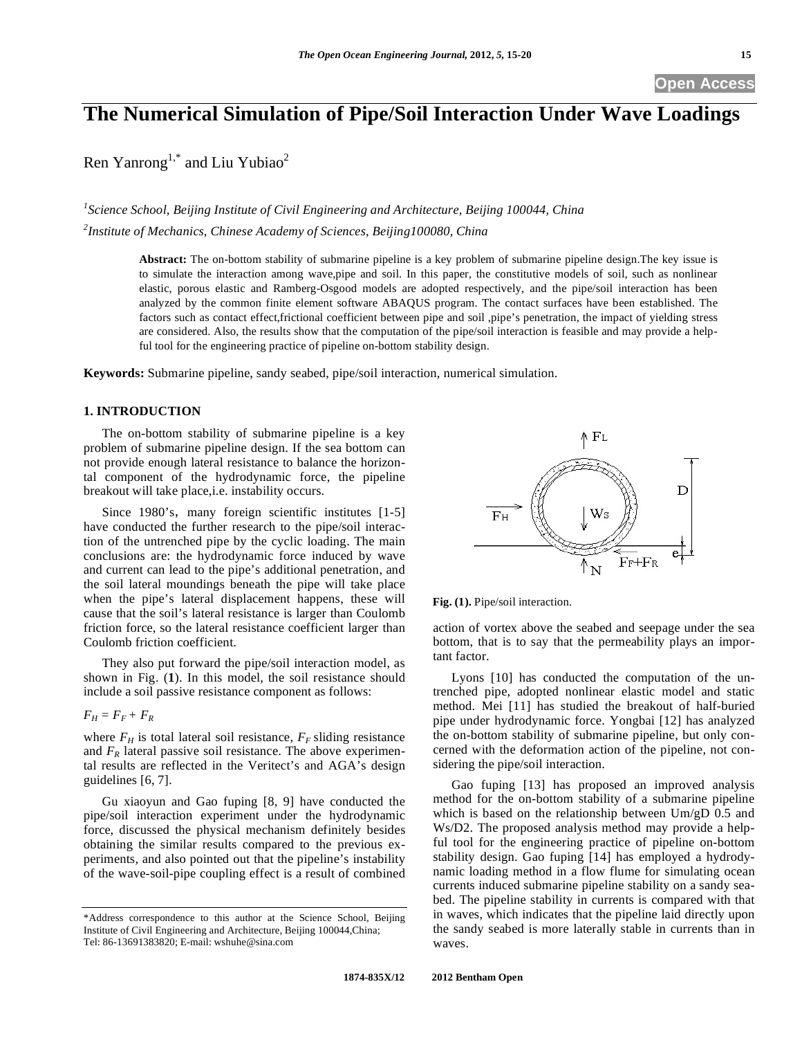# **The Numerical Simulation of Pipe/Soil Interaction Under Wave Loadings**

Ren Yanrong<sup>1,\*</sup> and Liu Yubiao<sup>2</sup>

<sup>1</sup> Science School, Beijing Institute of Civil Engineering and Architecture, Beijing 100044, China *2 Institute of Mechanics, Chinese Academy of Sciences, Beijing100080, China* 

> **Abstract:** The on-bottom stability of submarine pipeline is a key problem of submarine pipeline design.The key issue is to simulate the interaction among wave,pipe and soil. In this paper, the constitutive models of soil, such as nonlinear elastic, porous elastic and Ramberg-Osgood models are adopted respectively, and the pipe/soil interaction has been analyzed by the common finite element software ABAQUS program. The contact surfaces have been established. The factors such as contact effect,frictional coefficient between pipe and soil ,pipe's penetration, the impact of yielding stress are considered. Also, the results show that the computation of the pipe/soil interaction is feasible and may provide a helpful tool for the engineering practice of pipeline on-bottom stability design.

**Keywords:** Submarine pipeline, sandy seabed, pipe/soil interaction, numerical simulation.

# **1. INTRODUCTION**

The on-bottom stability of submarine pipeline is a key problem of submarine pipeline design. If the sea bottom can not provide enough lateral resistance to balance the horizontal component of the hydrodynamic force, the pipeline breakout will take place,i.e. instability occurs.

Since 1980's, many foreign scientific institutes  $[1-5]$ have conducted the further research to the pipe/soil interaction of the untrenched pipe by the cyclic loading. The main conclusions are: the hydrodynamic force induced by wave and current can lead to the pipe's additional penetration, and the soil lateral moundings beneath the pipe will take place when the pipe's lateral displacement happens, these will cause that the soil's lateral resistance is larger than Coulomb friction force, so the lateral resistance coefficient larger than Coulomb friction coefficient.

They also put forward the pipe/soil interaction model, as shown in Fig. (**1**). In this model, the soil resistance should include a soil passive resistance component as follows:

 $F_H = F_F + F_R$ 

where  $F_H$  is total lateral soil resistance,  $F_F$  sliding resistance and  $F_R$  lateral passive soil resistance. The above experimental results are reflected in the Veritect's and AGA's design guidelines [6, 7].

Gu xiaoyun and Gao fuping [8, 9] have conducted the pipe/soil interaction experiment under the hydrodynamic force, discussed the physical mechanism definitely besides obtaining the similar results compared to the previous experiments, and also pointed out that the pipeline's instability of the wave-soil-pipe coupling effect is a result of combined



**Fig. (1).** Pipe/soil interaction.

action of vortex above the seabed and seepage under the sea bottom, that is to say that the permeability plays an important factor.

Lyons [10] has conducted the computation of the untrenched pipe, adopted nonlinear elastic model and static method. Mei [11] has studied the breakout of half-buried pipe under hydrodynamic force. Yongbai [12] has analyzed the on-bottom stability of submarine pipeline, but only concerned with the deformation action of the pipeline, not considering the pipe/soil interaction.

Gao fuping [13] has proposed an improved analysis method for the on-bottom stability of a submarine pipeline which is based on the relationship between Um/gD 0.5 and Ws/D2. The proposed analysis method may provide a helpful tool for the engineering practice of pipeline on-bottom stability design. Gao fuping [14] has employed a hydrodynamic loading method in a flow flume for simulating ocean currents induced submarine pipeline stability on a sandy seabed. The pipeline stability in currents is compared with that in waves, which indicates that the pipeline laid directly upon the sandy seabed is more laterally stable in currents than in waves.

<sup>\*</sup>Address correspondence to this author at the Science School, Beijing Institute of Civil Engineering and Architecture, Beijing 100044,China; Tel: 86-13691383820; E-mail: wshuhe@sina.com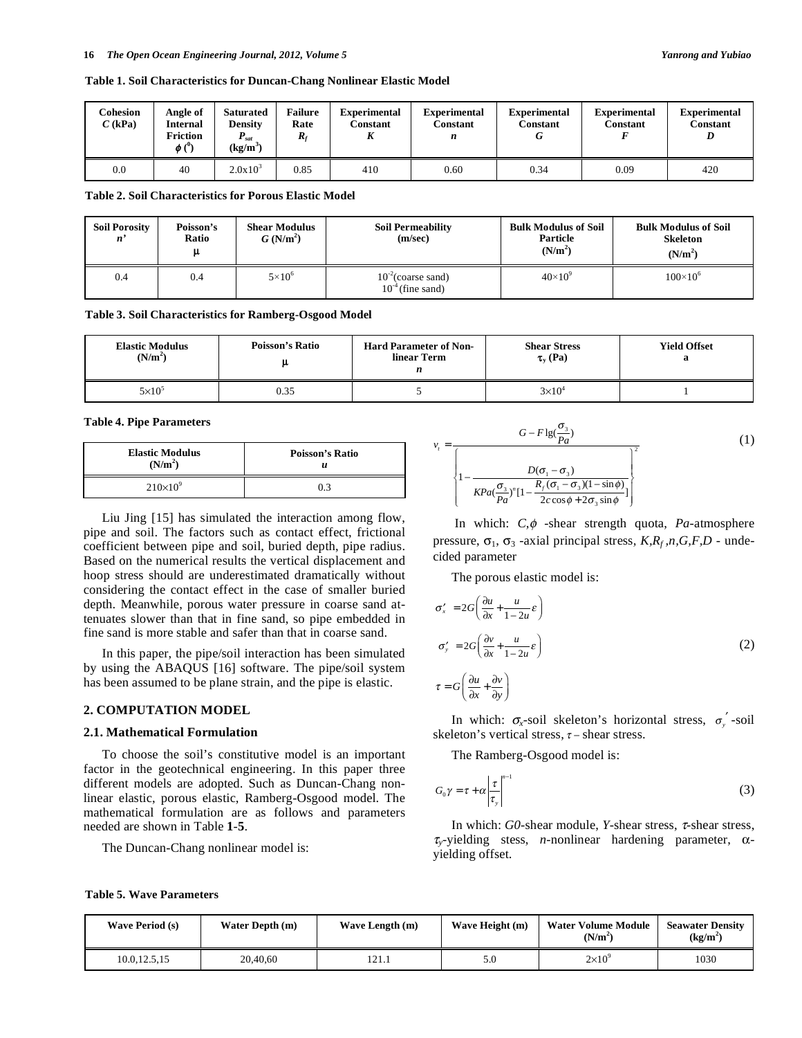**Table 1. Soil Characteristics for Duncan-Chang Nonlinear Elastic Model** 

| Cohesion<br>$C$ (kPa) | Angle of<br>Internal<br><b>Friction</b><br>$\phi$ ( $\theta$ ) | <b>Saturated</b><br><b>Density</b><br>$P_{sat}$<br>$(kg/m^3)$ | <b>Failure</b><br>Rate<br>$\bm{R}_t$ | <b>Experimental</b><br>Constant<br>п | <b>Experimental</b><br>Constant<br>n | <b>Experimental</b><br>Constant | <b>Experimental</b><br><b>Constant</b> | <b>Experimental</b><br>Constant<br>D |
|-----------------------|----------------------------------------------------------------|---------------------------------------------------------------|--------------------------------------|--------------------------------------|--------------------------------------|---------------------------------|----------------------------------------|--------------------------------------|
| 0.0                   | 40                                                             | $2.0x10^{3}$                                                  | 0.85                                 | 410                                  | 0.60                                 | 0.34                            | 0.09                                   | 420                                  |

**Table 2. Soil Characteristics for Porous Elastic Model** 

| <b>Soil Porosity</b><br>$\mathbf{n}^{\prime}$ | Poisson's<br>Ratio<br>ա | <b>Shear Modulus</b><br>$G(N/m^2)$ | <b>Soil Permeability</b><br>(m/sec)              | <b>Bulk Modulus of Soil</b><br>Particle<br>(N/m <sup>2</sup> ) | <b>Bulk Modulus of Soil</b><br><b>Skeleton</b><br>(N/m <sup>2</sup> ) |
|-----------------------------------------------|-------------------------|------------------------------------|--------------------------------------------------|----------------------------------------------------------------|-----------------------------------------------------------------------|
| 0.4                                           | 0.4                     | $5\times10^6$                      | $10^{-2}$ (coarse sand)<br>$10^{-4}$ (fine sand) | $40\times10^{9}$                                               | $100 \times 10^{6}$                                                   |

**Table 3. Soil Characteristics for Ramberg-Osgood Model** 

| <b>Elastic Modulus</b> | <b>Poisson's Ratio</b> | <b>Hard Parameter of Non-</b> | <b>Shear Stress</b> | <b>Yield Offset</b> |
|------------------------|------------------------|-------------------------------|---------------------|---------------------|
| (N/m <sup>2</sup> )    |                        | linear Term                   | $\tau_{v}$ (Pa)     |                     |
| $5\times10^5$          | 0.35                   |                               | $3\times10^4$       |                     |

#### **Table 4. Pipe Parameters**

| <b>Elastic Modulus</b><br>(N/m <sup>2</sup> ) | <b>Poisson's Ratio</b> |  |  |
|-----------------------------------------------|------------------------|--|--|
| $210\times10^{9}$                             | 0.3                    |  |  |

Liu Jing [15] has simulated the interaction among flow, pipe and soil. The factors such as contact effect, frictional coefficient between pipe and soil, buried depth, pipe radius. Based on the numerical results the vertical displacement and hoop stress should are underestimated dramatically without considering the contact effect in the case of smaller buried depth. Meanwhile, porous water pressure in coarse sand attenuates slower than that in fine sand, so pipe embedded in fine sand is more stable and safer than that in coarse sand.

In this paper, the pipe/soil interaction has been simulated by using the ABAQUS [16] software. The pipe/soil system has been assumed to be plane strain, and the pipe is elastic.

## **2. COMPUTATION MODEL**

#### **2.1. Mathematical Formulation**

To choose the soil's constitutive model is an important factor in the geotechnical engineering. In this paper three different models are adopted. Such as Duncan-Chang nonlinear elastic, porous elastic, Ramberg-Osgood model. The mathematical formulation are as follows and parameters needed are shown in Table **1**-**5**.

The Duncan-Chang nonlinear model is:

$$
v_{t} = \frac{G - F \lg(\frac{\sigma_{3}}{Pa})}{\sqrt{\frac{D(\sigma_{1} - \sigma_{3})}{kPa(\frac{\sigma_{3}}{Pa})^{n}[1 - \frac{R_{f}(\sigma_{1} - \sigma_{3})(1 - \sin \phi)}{2c \cos \phi + 2\sigma_{3} \sin \phi}]^{2}}}
$$
(1)

In which:  $C, \phi$  -shear strength quota,  $Pa$ -atmosphere pressure,  $\sigma_1$ ,  $\sigma_3$ -axial principal stress,  $K, R_f, n, G, F, D$  - undecided parameter

The porous elastic model is:

$$
\sigma'_{x} = 2G\left(\frac{\partial u}{\partial x} + \frac{u}{1 - 2u}\varepsilon\right)
$$
  

$$
\sigma'_{y} = 2G\left(\frac{\partial v}{\partial x} + \frac{u}{1 - 2u}\varepsilon\right)
$$
  

$$
\tau = G\left(\frac{\partial u}{\partial x} + \frac{\partial v}{\partial y}\right)
$$
 (2)

In which:  $\sigma_{x}$ -soil skeleton's horizontal stress,  $\sigma_{y}$ <sup>'</sup>-soil skeleton's vertical stress,  $\tau$  – shear stress.

The Ramberg-Osgood model is:

$$
G_0 \gamma = \tau + \alpha \left| \frac{\tau}{\tau_y} \right|^{n-1}
$$
 (3)

In which:  $G0$ -shear module, *Y*-shear stress,  $\tau$ -shear stress,  $\tau_y$ -yielding stess, *n*-nonlinear hardening parameter,  $\alpha$ yielding offset.

| <b>Wave Period (s)</b><br>Water Depth (m) |          | Wave Length (m) | Wave Height (m) | <b>Water Volume Module</b><br>(N/m <sup>2</sup> ) | <b>Seawater Density</b><br>(kg/m <sup>2</sup> ) |
|-------------------------------------------|----------|-----------------|-----------------|---------------------------------------------------|-------------------------------------------------|
| 10.0.12.5.15                              | 20,40,60 | 121.1           | 5.0             | $2\times10^{9}$                                   | 1030                                            |

**Table 5. Wave Parameters**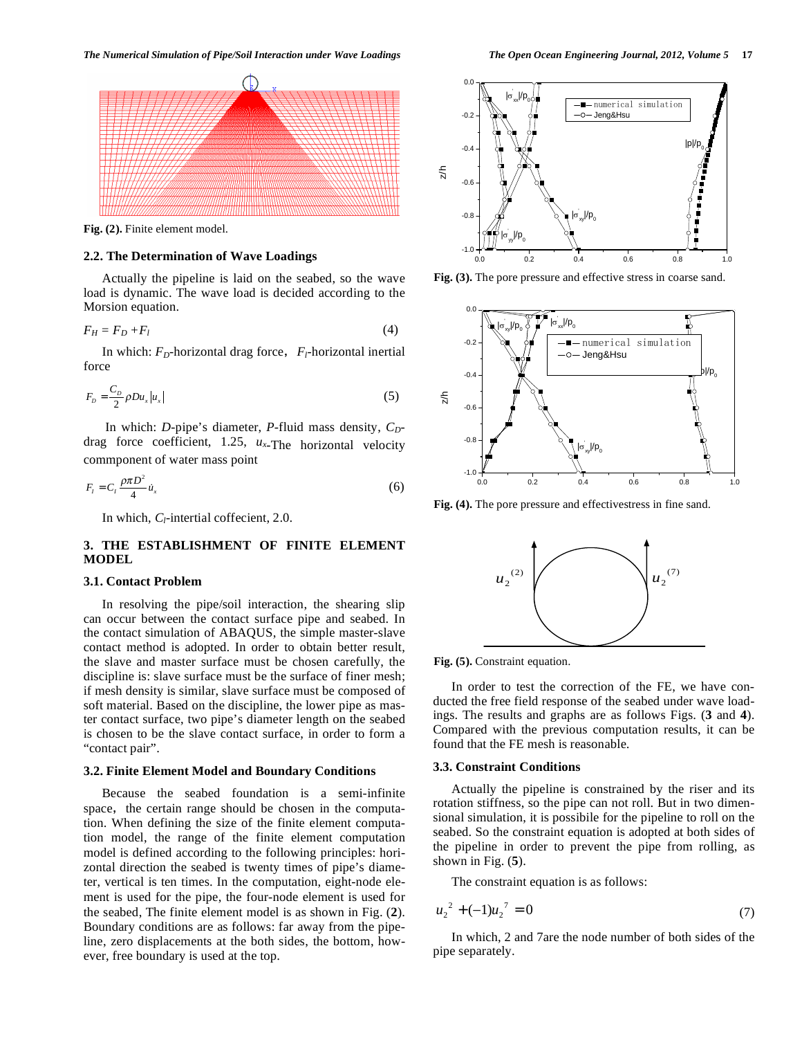

**Fig. (2).** Finite element model.

# **2.2. The Determination of Wave Loadings**

Actually the pipeline is laid on the seabed, so the wave load is dynamic. The wave load is decided according to the Morsion equation.

$$
F_H = F_D + F_l \tag{4}
$$

In which:  $F_D$ -horizontal drag force,  $F_I$ -horizontal inertial force

$$
F_D = \frac{C_D}{2} \rho D u_x |u_x| \tag{5}
$$

In which: *D*-pipe's diameter, *P*-fluid mass density,  $C_D$ drag force coefficient, 1.25, *ux*-The horizontal velocity commponent of water mass point

$$
F_t = C_t \frac{\rho \pi D^2}{4} \dot{u}_x \tag{6}
$$

In which, *C*<sub>l</sub>-intertial coffecient, 2.0.

# **3. THE ESTABLISHMENT OF FINITE ELEMENT MODEL**

## **3.1. Contact Problem**

In resolving the pipe/soil interaction, the shearing slip can occur between the contact surface pipe and seabed. In the contact simulation of ABAQUS, the simple master-slave contact method is adopted. In order to obtain better result, the slave and master surface must be chosen carefully, the discipline is: slave surface must be the surface of finer mesh; if mesh density is similar, slave surface must be composed of soft material. Based on the discipline, the lower pipe as master contact surface, two pipe's diameter length on the seabed is chosen to be the slave contact surface, in order to form a "contact pair".

## **3.2. Finite Element Model and Boundary Conditions**

Because the seabed foundation is a semi-infinite space, the certain range should be chosen in the computation. When defining the size of the finite element computation model, the range of the finite element computation model is defined according to the following principles: horizontal direction the seabed is twenty times of pipe's diameter, vertical is ten times. In the computation, eight-node element is used for the pipe, the four-node element is used for the seabed, The finite element model is as shown in Fig. (**2**). Boundary conditions are as follows: far away from the pipeline, zero displacements at the both sides, the bottom, however, free boundary is used at the top.



**Fig. (3).** The pore pressure and effective stress in coarse sand.



**Fig. (4).** The pore pressure and effectivestress in fine sand.



**Fig. (5).** Constraint equation.

In order to test the correction of the FE, we have conducted the free field response of the seabed under wave loadings. The results and graphs are as follows Figs. (**3** and **4**). Compared with the previous computation results, it can be found that the FE mesh is reasonable.

#### **3.3. Constraint Conditions**

Actually the pipeline is constrained by the riser and its rotation stiffness, so the pipe can not roll. But in two dimensional simulation, it is possibile for the pipeline to roll on the seabed. So the constraint equation is adopted at both sides of the pipeline in order to prevent the pipe from rolling, as shown in Fig. (**5**).

The constraint equation is as follows:

$$
u_2^2 + (-1)u_2^2 = 0 \tag{7}
$$

In which, 2 and 7are the node number of both sides of the pipe separately.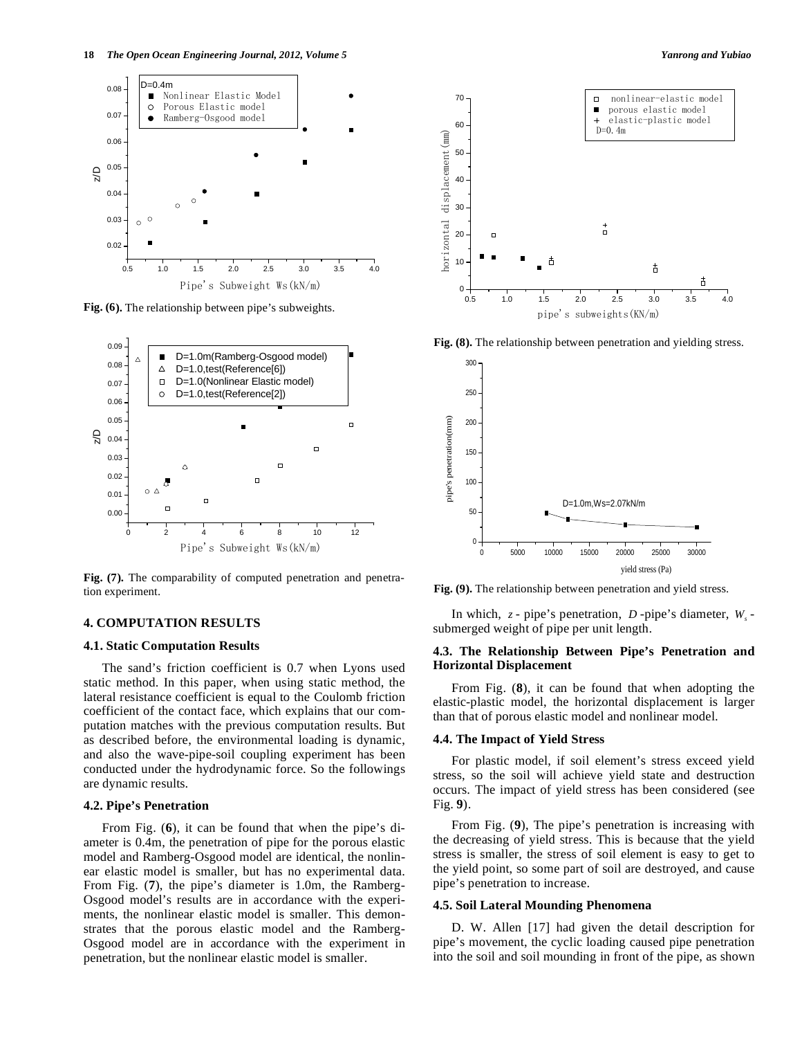

**Fig. (6).** The relationship between pipe's subweights.



Fig. (7). The comparability of computed penetration and penetration experiment.

# **4. COMPUTATION RESULTS**

## **4.1. Static Computation Results**

The sand's friction coefficient is 0.7 when Lyons used static method. In this paper, when using static method, the lateral resistance coefficient is equal to the Coulomb friction coefficient of the contact face, which explains that our computation matches with the previous computation results. But as described before, the environmental loading is dynamic, and also the wave-pipe-soil coupling experiment has been conducted under the hydrodynamic force. So the followings are dynamic results.

## **4.2. Pipe's Penetration**

From Fig. (**6**), it can be found that when the pipe's diameter is 0.4m, the penetration of pipe for the porous elastic model and Ramberg-Osgood model are identical, the nonlinear elastic model is smaller, but has no experimental data. From Fig. (**7**), the pipe's diameter is 1.0m, the Ramberg-Osgood model's results are in accordance with the experiments, the nonlinear elastic model is smaller. This demonstrates that the porous elastic model and the Ramberg-Osgood model are in accordance with the experiment in penetration, but the nonlinear elastic model is smaller.



**Fig. (8).** The relationship between penetration and yielding stress.



**Fig. (9).** The relationship between penetration and yield stress.

In which,  $z$  - pipe's penetration,  $D$  -pipe's diameter,  $W_s$  submerged weight of pipe per unit length.

## **4.3. The Relationship Between Pipe's Penetration and Horizontal Displacement**

From Fig. (**8**), it can be found that when adopting the elastic-plastic model, the horizontal displacement is larger than that of porous elastic model and nonlinear model.

## **4.4. The Impact of Yield Stress**

For plastic model, if soil element's stress exceed yield stress, so the soil will achieve yield state and destruction occurs. The impact of yield stress has been considered (see Fig. **9**).

From Fig. (**9**), The pipe's penetration is increasing with the decreasing of yield stress. This is because that the yield stress is smaller, the stress of soil element is easy to get to the yield point, so some part of soil are destroyed, and cause pipe's penetration to increase.

#### **4.5. Soil Lateral Mounding Phenomena**

D. W. Allen [17] had given the detail description for pipe's movement, the cyclic loading caused pipe penetration into the soil and soil mounding in front of the pipe, as shown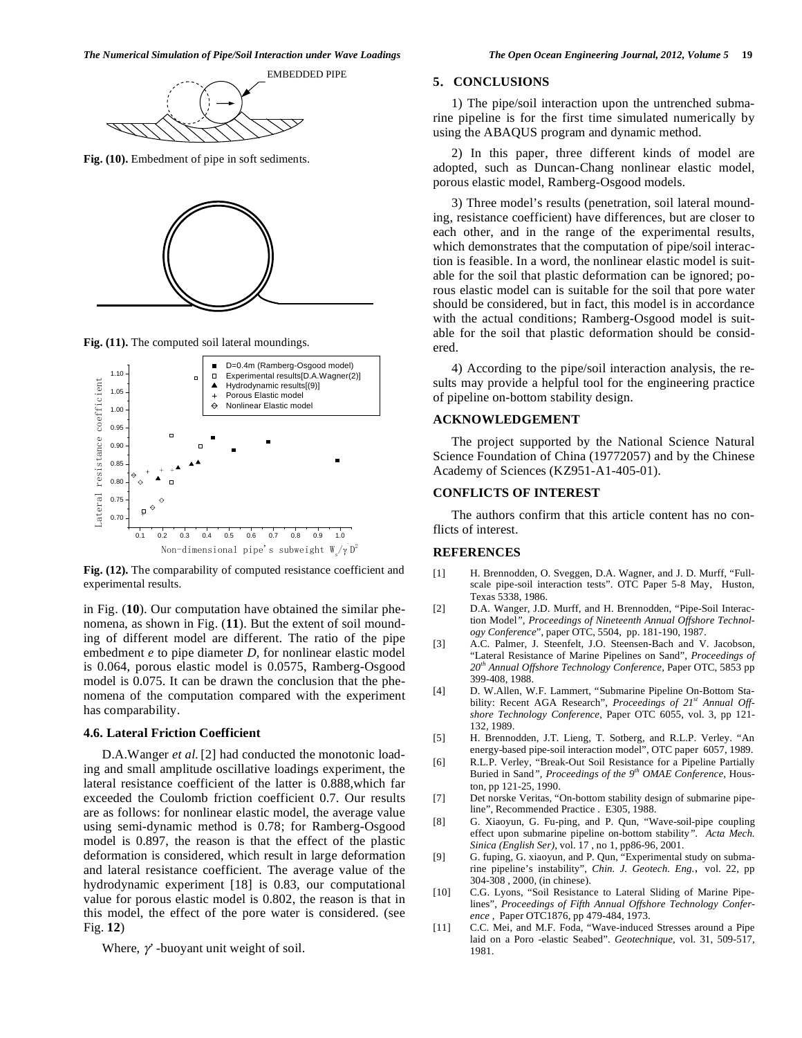

**Fig. (10).** Embedment of pipe in soft sediments.



**Fig. (11).** The computed soil lateral moundings.



**Fig. (12).** The comparability of computed resistance coefficient and experimental results.

in Fig. (**10**). Our computation have obtained the similar phenomena, as shown in Fig. (**11**). But the extent of soil mounding of different model are different. The ratio of the pipe embedment *e* to pipe diameter *D*, for nonlinear elastic model is 0.064, porous elastic model is 0.0575, Ramberg-Osgood model is 0.075. It can be drawn the conclusion that the phenomena of the computation compared with the experiment has comparability.

# **4.6. Lateral Friction Coefficient**

D.A.Wanger *et al.*[2] had conducted the monotonic loading and small amplitude oscillative loadings experiment, the lateral resistance coefficient of the latter is 0.888,which far exceeded the Coulomb friction coefficient 0.7. Our results are as follows: for nonlinear elastic model, the average value using semi-dynamic method is 0.78; for Ramberg-Osgood model is 0.897, the reason is that the effect of the plastic deformation is considered, which result in large deformation and lateral resistance coefficient. The average value of the hydrodynamic experiment [18] is 0.83, our computational value for porous elastic model is 0.802, the reason is that in this model, the effect of the pore water is considered. (see Fig. **12**)

Where,  $\gamma$  -buoyant unit weight of soil.

# **5CONCLUSIONS**

1) The pipe/soil interaction upon the untrenched submarine pipeline is for the first time simulated numerically by using the ABAQUS program and dynamic method.

2) In this paper, three different kinds of model are adopted, such as Duncan-Chang nonlinear elastic model, porous elastic model, Ramberg-Osgood models.

3) Three model's results (penetration, soil lateral mounding, resistance coefficient) have differences, but are closer to each other, and in the range of the experimental results, which demonstrates that the computation of pipe/soil interaction is feasible. In a word, the nonlinear elastic model is suitable for the soil that plastic deformation can be ignored; porous elastic model can is suitable for the soil that pore water should be considered, but in fact, this model is in accordance with the actual conditions; Ramberg-Osgood model is suitable for the soil that plastic deformation should be considered.

4) According to the pipe/soil interaction analysis, the results may provide a helpful tool for the engineering practice of pipeline on-bottom stability design.

# **ACKNOWLEDGEMENT**

The project supported by the National Science Natural Science Foundation of China (19772057) and by the Chinese Academy of Sciences (KZ951-A1-405-01).

## **CONFLICTS OF INTEREST**

The authors confirm that this article content has no conflicts of interest.

#### **REFERENCES**

- [1] H. Brennodden, O. Sveggen, D.A. Wagner, and J. D. Murff, "Fullscale pipe-soil interaction tests". OTC Paper 5-8 May, Huston, Texas 5338, 1986.
- [2] D.A. Wanger, J.D. Murff, and H. Brennodden, "Pipe-Soil Interaction Model*", Proceedings of Nineteenth Annual Offshore Technology Conference*", paper OTC, 5504, pp. 181-190, 1987.
- [3] A.C. Palmer, J. Steenfelt, J.O. Steensen-Bach and V. Jacobson, "Lateral Resistance of Marine Pipelines on Sand", *Proceedings of 20th Annual Offshore Technology Conference*, Paper OTC, 5853 pp 399-408, 1988.
- [4] D. W.Allen, W.F. Lammert, "Submarine Pipeline On-Bottom Stability: Recent AGA Research", *Proceedings of 21st Annual Offshore Technology Conference*, Paper OTC 6055, vol. 3, pp 121- 132, 1989.
- [5] H. Brennodden, J.T. Lieng, T. Sotberg, and R.L.P. Verley. "An energy-based pipe-soil interaction model", OTC paper 6057, 1989.
- [6] R.L.P. Verley, "Break-Out Soil Resistance for a Pipeline Partially Buried in Sand*"*, *Proceedings of the 9th OMAE Conference*, Houston, pp 121-25, 1990.
- [7] Det norske Veritas, "On-bottom stability design of submarine pipeline", Recommended Practice . E305, 1988.
- [8] G. Xiaoyun, G. Fu-ping, and P. Qun, "Wave-soil-pipe coupling effect upon submarine pipeline on-bottom stability*"*. *Acta Mech. Sinica (English Ser),* vol. 17 , no 1, pp86-96, 2001.
- [9] G. fuping, G. xiaoyun, and P. Qun, "Experimental study on submarine pipeline's instability", *Chin. J. Geotech. Eng.*, vol. 22, pp 304-308 , 2000, (in chinese).
- [10] C.G. Lyons, "Soil Resistance to Lateral Sliding of Marine Pipelines", *Proceedings of Fifth Annual Offshore Technology Conference* , Paper OTC1876, pp 479-484, 1973.
- [11] C.C. Mei, and M.F. Foda, "Wave-induced Stresses around a Pipe laid on a Poro -elastic Seabed". *Geotechnique*, vol. 31, 509-517, 1981.